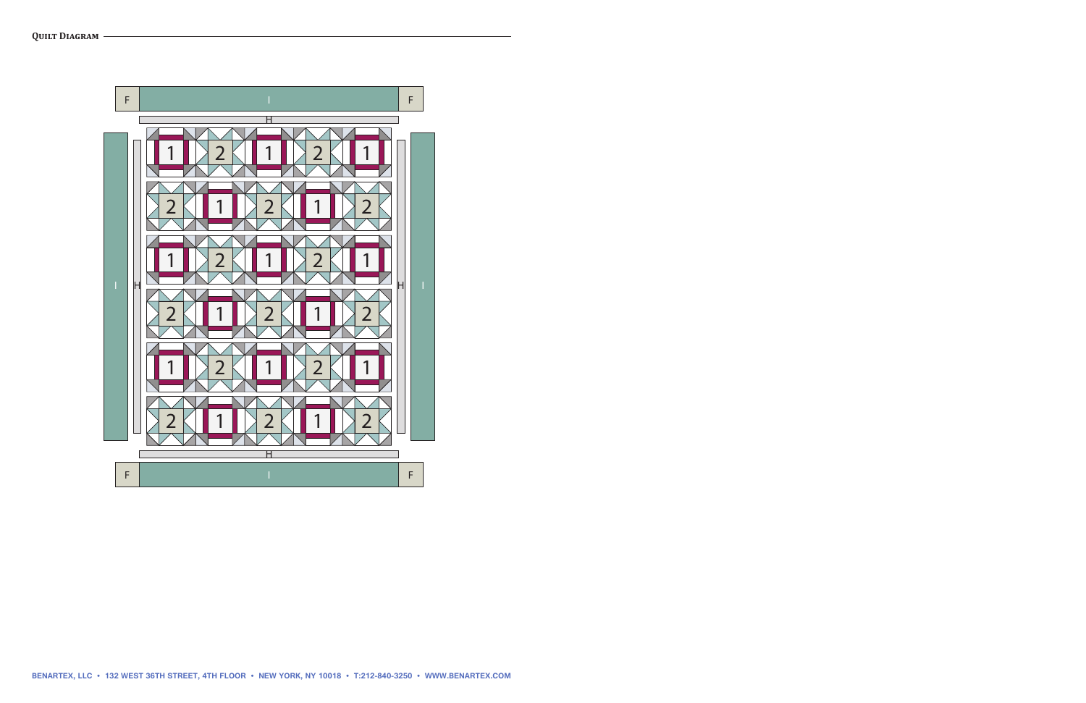